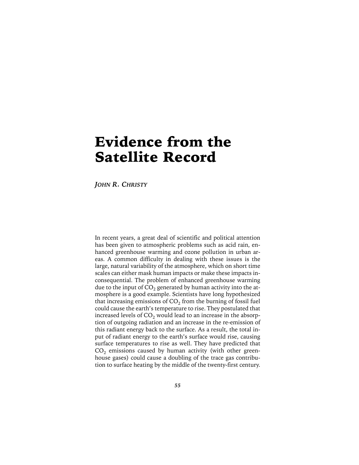# Evidence from the Satellite Record

*JOHN R. CHRISTY*

In recent years, a great deal of scientific and political attention has been given to atmospheric problems such as acid rain, enhanced greenhouse warming and ozone pollution in urban areas. A common difficulty in dealing with these issues is the large, natural variability of the atmosphere, which on short time scales can either mask human impacts or make these impacts inconsequential. The problem of enhanced greenhouse warming due to the input of  $CO<sub>2</sub>$  generated by human activity into the atmosphere is a good example. Scientists have long hypothesized that increasing emissions of  $CO<sub>2</sub>$  from the burning of fossil fuel could cause the earth's temperature to rise. They postulated that increased levels of  $CO<sub>2</sub>$  would lead to an increase in the absorption of outgoing radiation and an increase in the re-emission of this radiant energy back to the surface. As a result, the total input of radiant energy to the earth's surface would rise, causing surface temperatures to rise as well. They have predicted that  $CO<sub>2</sub>$  emissions caused by human activity (with other greenhouse gases) could cause a doubling of the trace gas contribution to surface heating by the middle of the twenty-first century.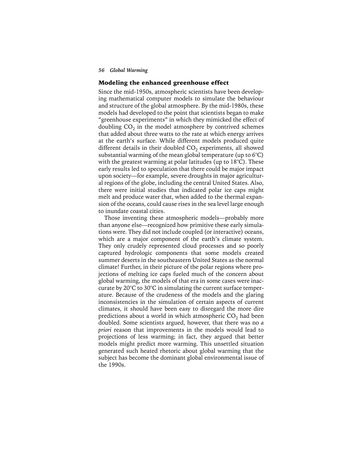### Modeling the enhanced greenhouse effect

Since the mid-1950s, atmospheric scientists have been developing mathematical computer models to simulate the behaviour and structure of the global atmosphere. By the mid-1980s, these models had developed to the point that scientists began to make "greenhouse experiments" in which they mimicked the effect of doubling  $CO<sub>2</sub>$  in the model atmosphere by contrived schemes that added about three watts to the rate at which energy arrives at the earth's surface. While different models produced quite different details in their doubled  $CO<sub>2</sub>$  experiments, all showed substantial warming of the mean global temperature (up to 6°C) with the greatest warming at polar latitudes (up to  $18^{\circ}$ C). These early results led to speculation that there could be major impact upon society—for example, severe droughts in major agricultural regions of the globe, including the central United States. Also, there were initial studies that indicated polar ice caps might melt and produce water that, when added to the thermal expansion of the oceans, could cause rises in the sea level large enough to inundate coastal cities.

Those inventing these atmospheric models—probably more than anyone else—recognized how primitive these early simulations were. They did not include coupled (or interactive) oceans, which are a major component of the earth's climate system. They only crudely represented cloud processes and so poorly captured hydrologic components that some models created summer deserts in the southeastern United States as the normal climate! Further, in their picture of the polar regions where projections of melting ice caps fueled much of the concern about global warming, the models of that era in some cases were inaccurate by 20°C to 30°C in simulating the current surface temperature. Because of the crudeness of the models and the glaring inconsistencies in the simulation of certain aspects of current climates, it should have been easy to disregard the more dire predictions about a world in which atmospheric  $CO<sub>2</sub>$  had been doubled. Some scientists argued, however, that there was no *a priori* reason that improvements in the models would lead to projections of less warming; in fact, they argued that better models might predict more warming. This unsettled situation generated such heated rhetoric about global warming that the subject has become the dominant global environmental issue of the 1990s.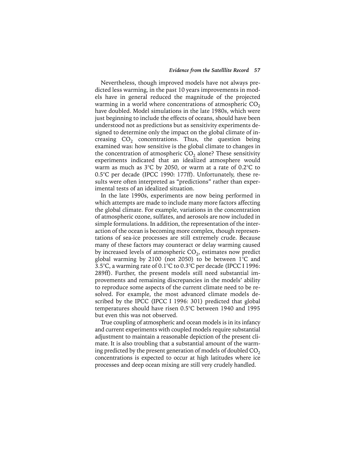Nevertheless, though improved models have not always predicted less warming, in the past 10 years improvements in models have in general reduced the magnitude of the projected warming in a world where concentrations of atmospheric  $CO<sub>2</sub>$ have doubled. Model simulations in the late 1980s, which were just beginning to include the effects of oceans, should have been understood not as predictions but as sensitivity experiments designed to determine only the impact on the global climate of increasing  $CO<sub>2</sub>$  concentrations. Thus, the question being examined was: how sensitive is the global climate to changes in the concentration of atmospheric  $CO<sub>2</sub>$  alone? These sensitivity experiments indicated that an idealized atmosphere would warm as much as 3°C by 2050, or warm at a rate of 0.2°C to 0.5°C per decade (IPCC 1990: 177ff). Unfortunately, these results were often interpreted as "predictions" rather than experimental tests of an idealized situation.

In the late 1990s, experiments are now being performed in which attempts are made to include many more factors affecting the global climate. For example, variations in the concentration of atmospheric ozone, sulfates, and aerosols are now included in simple formulations. In addition, the representation of the interaction of the ocean is becoming more complex, though representations of sea-ice processes are still extremely crude. Because many of these factors may counteract or delay warming caused by increased levels of atmospheric  $CO<sub>2</sub>$ , estimates now predict global warming by 2100 (not 2050) to be between  $1^{\circ}$ C and 3.5°C, a warming rate of 0.1°C to 0.3°C per decade (IPCC I 1996: 289ff). Further, the present models still need substantial improvements and remaining discrepancies in the models' ability to reproduce some aspects of the current climate need to be resolved. For example, the most advanced climate models described by the IPCC (IPCC I 1996: 301) predicted that global temperatures should have risen 0.5°C between 1940 and 1995 but even this was not observed.

True coupling of atmospheric and ocean models is in its infancy and current experiments with coupled models require substantial adjustment to maintain a reasonable depiction of the present climate. It is also troubling that a substantial amount of the warming predicted by the present generation of models of doubled  $CO<sub>2</sub>$ concentrations is expected to occur at high latitudes where ice processes and deep ocean mixing are still very crudely handled.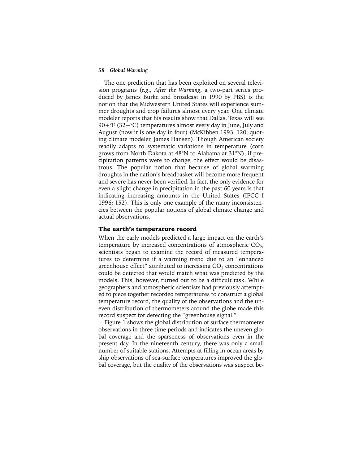The one prediction that has been exploited on several television programs (*e.g*., *After the Warming*, a two-part series produced by James Burke and broadcast in 1990 by PBS) is the notion that the Midwestern United States will experience summer droughts and crop failures almost every year. One climate modeler reports that his results show that Dallas, Texas will see 90+ $\mathrm{P}F$  (32+ $\mathrm{C}$ ) temperatures almost every day in June, July and August (now it is one day in four) (McKibben 1993: 120, quoting climate modeler, James Hansen). Though American society readily adapts to systematic variations in temperature (corn grows from North Dakota at 48°N to Alabama at 31°N), if precipitation patterns were to change, the effect would be disastrous. The popular notion that because of global warming droughts in the nation's breadbasket will become more frequent and severe has never been verified. In fact, the only evidence for even a slight change in precipitation in the past 60 years is that indicating increasing amounts in the United States (IPCC I 1996: 152). This is only one example of the many inconsistencies between the popular notions of global climate change and actual observations.

#### The earth's temperature record

When the early models predicted a large impact on the earth's temperature by increased concentrations of atmospheric  $CO<sub>2</sub>$ , scientists began to examine the record of measured temperatures to determine if a warming trend due to an "enhanced greenhouse effect" attributed to increasing  $CO<sub>2</sub>$  concentrations could be detected that would match what was predicted by the models. This, however, turned out to be a difficult task. While geographers and atmospheric scientists had previously attempted to piece together recorded temperatures to construct a global temperature record, the quality of the observations and the uneven distribution of thermometers around the globe made this record suspect for detecting the "greenhouse signal."

Figure 1 shows the global distribution of surface thermometer observations in three time periods and indicates the uneven global coverage and the sparseness of observations even in the present day. In the nineteenth century, there was only a small number of suitable stations. Attempts at filling in ocean areas by ship observations of sea-surface temperatures improved the global coverage, but the quality of the observations was suspect be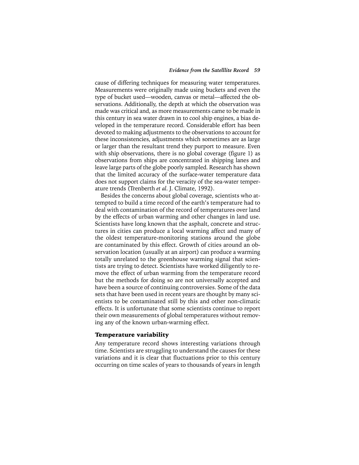cause of differing techniques for measuring water temperatures. Measurements were originally made using buckets and even the type of bucket used—wooden, canvas or metal—affected the observations. Additionally, the depth at which the observation was made was critical and, as more measurements came to be made in this century in sea water drawn in to cool ship engines, a bias developed in the temperature record. Considerable effort has been devoted to making adjustments to the observations to account for these inconsistencies, adjustments which sometimes are as large or larger than the resultant trend they purport to measure. Even with ship observations, there is no global coverage (figure 1) as observations from ships are concentrated in shipping lanes and leave large parts of the globe poorly sampled. Research has shown that the limited accuracy of the surface-water temperature data does not support claims for the veracity of the sea-water temperature trends (Trenberth *et al*. J. Climate, 1992).

Besides the concerns about global coverage, scientists who attempted to build a time record of the earth's temperature had to deal with contamination of the record of temperatures over land by the effects of urban warming and other changes in land use. Scientists have long known that the asphalt, concrete and structures in cities can produce a local warming affect and many of the oldest temperature-monitoring stations around the globe are contaminated by this effect. Growth of cities around an observation location (usually at an airport) can produce a warming totally unrelated to the greenhouse warming signal that scientists are trying to detect. Scientists have worked diligently to remove the effect of urban warming from the temperature record but the methods for doing so are not universally accepted and have been a source of continuing controversies. Some of the data sets that have been used in recent years are thought by many scientists to be contaminated still by this and other non-climatic effects. It is unfortunate that some scientists continue to report their own measurements of global temperatures without removing any of the known urban-warming effect.

#### Temperature variability

Any temperature record shows interesting variations through time. Scientists are struggling to understand the causes for these variations and it is clear that fluctuations prior to this century occurring on time scales of years to thousands of years in length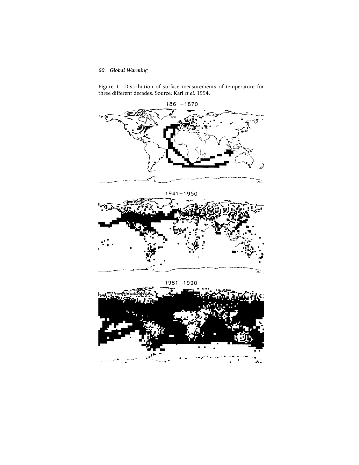Figure 1 Distribution of surface measurements of temperature for three different decades. Source: Karl *et al*. 1994.



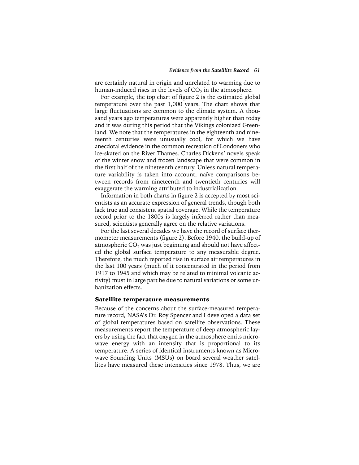are certainly natural in origin and unrelated to warming due to human-induced rises in the levels of  $CO<sub>2</sub>$  in the atmosphere.

For example, the top chart of figure 2 is the estimated global temperature over the past 1,000 years. The chart shows that large fluctuations are common to the climate system. A thousand years ago temperatures were apparently higher than today and it was during this period that the Vikings colonized Greenland. We note that the temperatures in the eighteenth and nineteenth centuries were unusually cool, for which we have anecdotal evidence in the common recreation of Londoners who ice-skated on the River Thames. Charles Dickens' novels speak of the winter snow and frozen landscape that were common in the first half of the nineteenth century. Unless natural temperature variability is taken into account, naïve comparisons between records from nineteenth and twentieth centuries will exaggerate the warming attributed to industrialization.

Information in both charts in figure 2 is accepted by most scientists as an accurate expression of general trends, though both lack true and consistent spatial coverage. While the temperature record prior to the 1800s is largely inferred rather than measured, scientists generally agree on the relative variations.

For the last several decades we have the record of surface thermometer measurements (figure 2). Before 1940, the build-up of atmospheric  $CO<sub>2</sub>$  was just beginning and should not have affected the global surface temperature to any measurable degree. Therefore, the much reported rise in surface air temperatures in the last 100 years (much of it concentrated in the period from 1917 to 1945 and which may be related to minimal volcanic activity) must in large part be due to natural variations or some urbanization effects.

#### Satellite temperature measurements

Because of the concerns about the surface-measured temperature record, NASA's Dr. Roy Spencer and I developed a data set of global temperatures based on satellite observations. These measurements report the temperature of deep atmospheric layers by using the fact that oxygen in the atmosphere emits microwave energy with an intensity that is proportional to its temperature. A series of identical instruments known as Microwave Sounding Units (MSUs) on board several weather satellites have measured these intensities since 1978. Thus, we are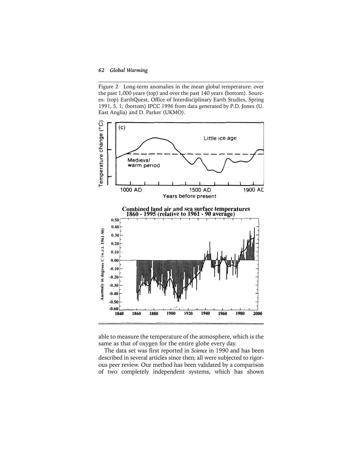Figure 2 Long-term anomalies in the mean global temperature: over the past 1,000 years (top) and over the past 140 years (bottom). Sources: (top) EarthQuest, Office of Interdisciplinary Earth Studies, Spring 1991, 5, 1; (bottom) IPCC 1996 from data generated by P.D. Jones (U. East Anglia) and D. Parker (UKMO).



able to measure the temperature of the atmosphere, which is the same as that of oxygen for the entire globe every day.

The data set was first reported in *Science* in 1990 and has been described in several articles since then; all were subjected to rigorous peer review. Our method has been validated by a comparison of two completely independent systems, which has shown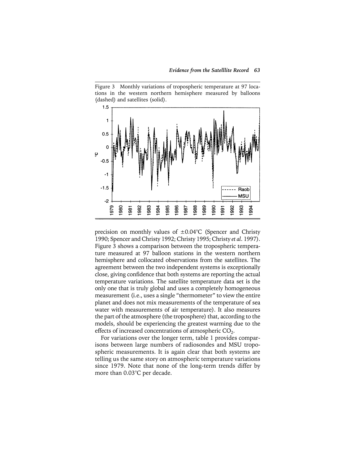Figure 3 Monthly variations of tropospheric temperature at 97 locations in the western northern hemisphere measured by balloons (dashed) and satellites (solid).



precision on monthly values of  $\pm 0.04$ °C (Spencer and Christy 1990; Spencer and Christy 1992; Christy 1995; Christy *et al*. 1997). Figure 3 shows a comparison between the tropospheric temperature measured at 97 balloon stations in the western northern hemisphere and collocated observations from the satellites. The agreement between the two independent systems is exceptionally close, giving confidence that both systems are reporting the actual temperature variations. The satellite temperature data set is the only one that is truly global and uses a completely homogeneous measurement (i.e., uses a single "thermometer" to view the entire planet and does not mix measurements of the temperature of sea water with measurements of air temperature). It also measures the part of the atmosphere (the troposphere) that, according to the models, should be experiencing the greatest warming due to the effects of increased concentrations of atmospheric CO<sub>2</sub>.

For variations over the longer term, table 1 provides comparisons between large numbers of radiosondes and MSU tropospheric measurements. It is again clear that both systems are telling us the same story on atmospheric temperature variations since 1979. Note that none of the long-term trends differ by more than 0.03°C per decade.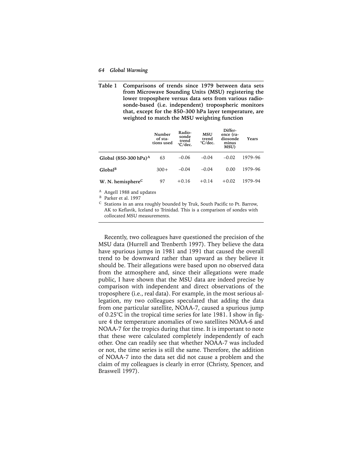#### *64 Global Warming*

**Table 1 Comparisons of trends since 1979 between data sets from Microwave Sounding Units (MSU) registering the lower troposphere versus data sets from various radiosonde-based (i.e. independent) tropospheric monitors that, except for the 850–300 hPa layer temperature, are weighted to match the MSU weighting function** 

|                                   | Number<br>of sta-<br>tions used | Radio-<br>sonde<br>trend<br>°C/dec. | <b>MSU</b><br>trend<br>°C/dec. | Differ-<br>ence (ra-<br>diosonde<br>minus<br>MSU) | Years   |
|-----------------------------------|---------------------------------|-------------------------------------|--------------------------------|---------------------------------------------------|---------|
| Global (850-300 hPa) <sup>A</sup> | 63                              | $-0.06$                             | $-0.04$                        | $-0.02$                                           | 1979–96 |
| Global <sup>B</sup>               | $300+$                          | $-0.04$                             | $-0.04$                        | 0.00                                              | 1979-96 |
| W. N. hemisphere <sup>C</sup>     | 97                              | $+0.16$                             | $+0.14$                        | $+0.02$                                           | 1979-94 |

<sup>A</sup> Angell 1988 and updates

B Parker et al. 1997

<sup>C</sup> Stations in an area roughly bounded by Truk, South Pacific to Pt. Barrow, AK to Keflavik, Iceland to Trinidad. This is a comparison of sondes with collocated MSU measurements.

Recently, two colleagues have questioned the precision of the MSU data (Hurrell and Trenberth 1997). They believe the data have spurious jumps in 1981 and 1991 that caused the overall trend to be downward rather than upward as they believe it should be. Their allegations were based upon no observed data from the atmosphere and, since their allegations were made public, I have shown that the MSU data are indeed precise by comparison with independent and direct observations of the troposphere (i.e., real data). For example, in the most serious allegation, my two colleagues speculated that adding the data from one particular satellite, NOAA-7, caused a spurious jump of 0.25°C in the tropical time series for late 1981. I show in figure 4 the temperature anomalies of two satellites NOAA-6 and NOAA-7 for the tropics during that time. It is important to note that these were calculated completely independently of each other. One can readily see that whether NOAA-7 was included or not, the time series is still the same. Therefore, the addition of NOAA-7 into the data set did not cause a problem and the claim of my colleagues is clearly in error (Christy, Spencer, and Braswell 1997).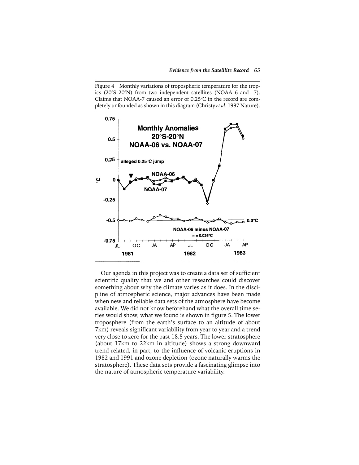Figure 4 Monthly variations of tropospheric temperature for the tropics (20°S–20°N) from two independent satellites (NOAA–6 and –7). Claims that NOAA-7 caused an error of 0.25°C in the record are completely unfounded as shown in this diagram (Christy *et al*. 1997 Nature).



Our agenda in this project was to create a data set of sufficient scientific quality that we and other researches could discover something about why the climate varies as it does. In the discipline of atmospheric science, major advances have been made when new and reliable data sets of the atmosphere have become available. We did not know beforehand what the overall time series would show; what we found is shown in figure 5. The lower troposphere (from the earth's surface to an altitude of about 7km) reveals significant variability from year to year and a trend very close to zero for the past 18.5 years. The lower stratosphere (about 17km to 22km in altitude) shows a strong downward trend related, in part, to the influence of volcanic eruptions in 1982 and 1991 and ozone depletion (ozone naturally warms the stratosphere). These data sets provide a fascinating glimpse into the nature of atmospheric temperature variability.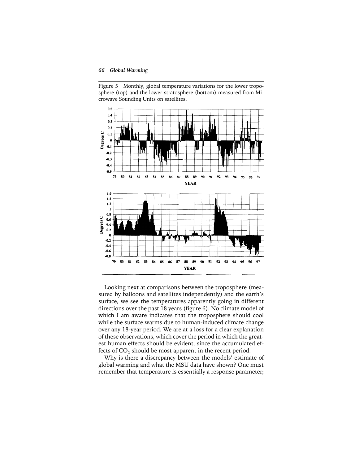Figure 5 Monthly, global temperature variations for the lower troposphere (top) and the lower stratosphere (bottom) measured from Microwave Sounding Units on satellites.



Looking next at comparisons between the troposphere (measured by balloons and satellites independently) and the earth's surface, we see the temperatures apparently going in different directions over the past 18 years (figure 6). No climate model of which I am aware indicates that the troposphere should cool while the surface warms due to human-induced climate change over any 18-year period. We are at a loss for a clear explanation of these observations, which cover the period in which the greatest human effects should be evident, since the accumulated effects of  $CO<sub>2</sub>$  should be most apparent in the recent period.

Why is there a discrepancy between the models' estimate of global warming and what the MSU data have shown? One must remember that temperature is essentially a response parameter;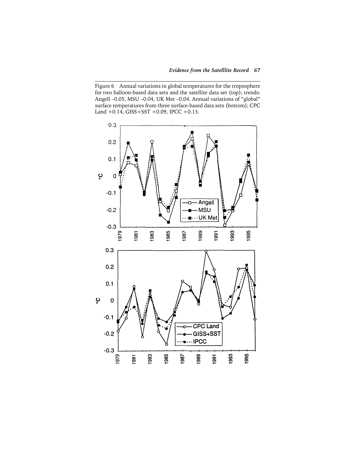Figure 6 Annual variations in global temperatures for the troposphere for two balloon-based data sets and the satellite data set (top); trends: Angell –0.05, MSU –0.04, UK Met –0.04. Annual variations of "global" surface temperatures from three surface-based data sets (bottom); CPC Land  $+0.14$ , GISS  $+$  SST  $+0.09$ , IPCC  $+0.13$ .

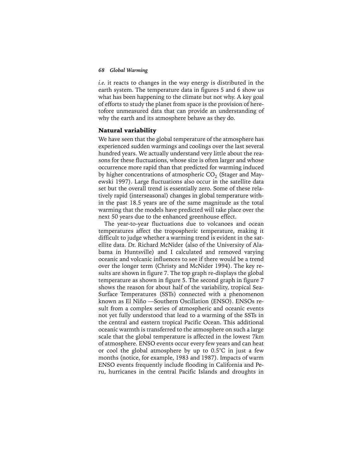*i.e.* it reacts to changes in the way energy is distributed in the earth system. The temperature data in figures 5 and 6 show us what has been happening to the climate but not why. A key goal of efforts to study the planet from space is the provision of heretofore unmeasured data that can provide an understanding of why the earth and its atmosphere behave as they do.

#### Natural variability

We have seen that the global temperature of the atmosphere has experienced sudden warmings and coolings over the last several hundred years. We actually understand very little about the reasons for these fluctuations, whose size is often larger and whose occurrence more rapid than that predicted for warming induced by higher concentrations of atmospheric  $CO<sub>2</sub>$  (Stager and Mayewski 1997). Large fluctuations also occur in the satellite data set but the overall trend is essentially zero. Some of these relatively rapid (interseasonal) changes in global temperature within the past 18.5 years are of the same magnitude as the total warming that the models have predicted will take place over the next 50 years due to the enhanced greenhouse effect.

The year-to-year fluctuations due to volcanoes and ocean temperatures affect the tropospheric temperature, making it difficult to judge whether a warming trend is evident in the satellite data. Dr. Richard McNider (also of the University of Alabama in Huntsville) and I calculated and removed varying oceanic and volcanic influences to see if there would be a trend over the longer term (Christy and McNider 1994). The key results are shown in figure 7. The top graph re-displays the global temperature as shown in figure 5. The second graph in figure 7 shows the reason for about half of the variability, tropical Sea-Surface Temperatures (SSTs) connected with a phenomenon known as El Niño —Southern Oscillation (ENSO). ENSOs result from a complex series of atmospheric and oceanic events not yet fully understood that lead to a warming of the SSTs in the central and eastern tropical Pacific Ocean. This additional oceanic warmth is transferred to the atmosphere on such a large scale that the global temperature is affected in the lowest 7km of atmosphere. ENSO events occur every few years and can heat or cool the global atmosphere by up to 0.5°C in just a few months (notice, for example, 1983 and 1987). Impacts of warm ENSO events frequently include flooding in California and Peru, hurricanes in the central Pacific Islands and droughts in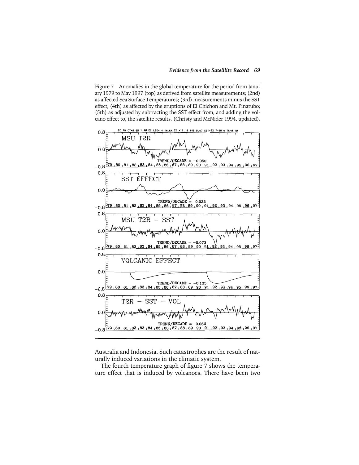Figure 7 Anomalies in the global temperature for the period from January 1979 to May 1997 (top) as derived from satellite measurements; (2nd) as affected Sea Surface Temperatures; (3rd) measurements minus the SST effect; (4th) as affected by the eruptions of El Chichon and Mt. Pinatubo; (5th) as adjusted by subtracting the SST effect from, and adding the volcano effect to, the satellite results. (Christy and McNider 1994, updated).



Australia and Indonesia. Such catastrophes are the result of naturally induced variations in the climatic system.

The fourth temperature graph of figure 7 shows the temperature effect that is induced by volcanoes. There have been two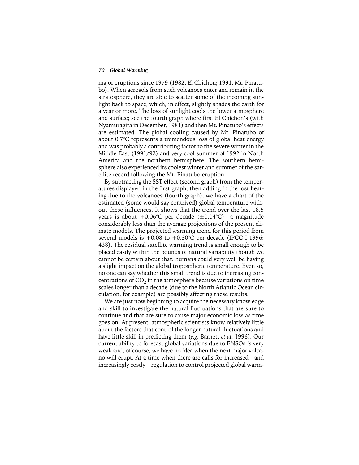major eruptions since 1979 (1982, El Chichon; 1991, Mt. Pinatubo). When aerosols from such volcanoes enter and remain in the stratosphere, they are able to scatter some of the incoming sunlight back to space, which, in effect, slightly shades the earth for a year or more. The loss of sunlight cools the lower atmosphere and surface; see the fourth graph where first El Chichon's (with Nyamuragira in December, 1981) and then Mt. Pinatubo's effects are estimated. The global cooling caused by Mt. Pinatubo of about 0.7°C represents a tremendous loss of global heat energy and was probably a contributing factor to the severe winter in the Middle East (1991/92) and very cool summer of 1992 in North America and the northern hemisphere. The southern hemisphere also experienced its coolest winter and summer of the satellite record following the Mt. Pinatubo eruption.

By subtracting the SST effect (second graph) from the temperatures displayed in the first graph, then adding in the lost heating due to the volcanoes (fourth graph), we have a chart of the estimated (some would say contrived) global temperature without these influences. It shows that the trend over the last 18.5 years is about  $+0.06^{\circ}$ C per decade ( $\pm 0.04^{\circ}$ C) — a magnitude considerably less than the average projections of the present climate models. The projected warming trend for this period from several models is  $+0.08$  to  $+0.30^{\circ}$ C per decade (IPCC I 1996: 438). The residual satellite warming trend is small enough to be placed easily within the bounds of natural variability though we cannot be certain about that: humans could very well be having a slight impact on the global tropospheric temperature. Even so, no one can say whether this small trend is due to increasing concentrations of  $CO<sub>2</sub>$  in the atmosphere because variations on time scales longer than a decade (due to the North Atlantic Ocean circulation, for example) are possibly affecting these results.

We are just now beginning to acquire the necessary knowledge and skill to investigate the natural fluctuations that are sure to continue and that are sure to cause major economic loss as time goes on. At present, atmospheric scientists know relatively little about the factors that control the longer natural fluctuations and have little skill in predicting them (*e.g*. Barnett *et al*. 1996). Our current ability to forecast global variations due to ENSOs is very weak and, of course, we have no idea when the next major volcano will erupt. At a time when there are calls for increased—and increasingly costly—regulation to control projected global warm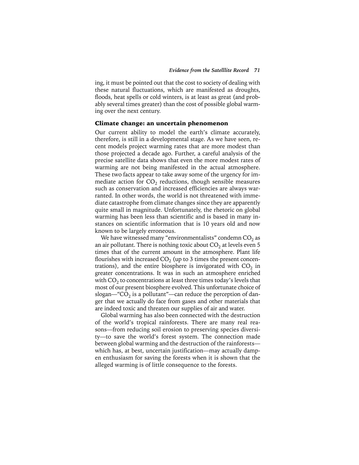ing, it must be pointed out that the cost to society of dealing with these natural fluctuations, which are manifested as droughts, floods, heat spells or cold winters, is at least as great (and probably several times greater) than the cost of possible global warming over the next century.

#### Climate change: an uncertain phenomenon

Our current ability to model the earth's climate accurately, therefore, is still in a developmental stage. As we have seen, recent models project warming rates that are more modest than those projected a decade ago. Further, a careful analysis of the precise satellite data shows that even the more modest rates of warming are not being manifested in the actual atmosphere. These two facts appear to take away some of the urgency for immediate action for  $CO<sub>2</sub>$  reductions, though sensible measures such as conservation and increased efficiencies are always warranted. In other words, the world is not threatened with immediate catastrophe from climate changes since they are apparently quite small in magnitude. Unfortunately, the rhetoric on global warming has been less than scientific and is based in many instances on scientific information that is 10 years old and now known to be largely erroneous.

We have witnessed many "environmentalists" condemn  $CO<sub>2</sub>$  as an air pollutant. There is nothing toxic about  $CO<sub>2</sub>$  at levels even 5 times that of the current amount in the atmosphere. Plant life flourishes with increased  $CO<sub>2</sub>$  (up to 3 times the present concentrations), and the entire biosphere is invigorated with  $CO<sub>2</sub>$  in greater concentrations. It was in such an atmosphere enriched with  $CO<sub>2</sub>$  to concentrations at least three times today's levels that most of our present biosphere evolved. This unfortunate choice of slogan—" $\overline{CO}_2$  is a pollutant"—can reduce the perception of danger that we actually do face from gases and other materials that are indeed toxic and threaten our supplies of air and water.

Global warming has also been connected with the destruction of the world's tropical rainforests. There are many real reasons—from reducing soil erosion to preserving species diversity—to save the world's forest system. The connection made between global warming and the destruction of the rainforests which has, at best, uncertain justification—may actually dampen enthusiasm for saving the forests when it is shown that the alleged warming is of little consequence to the forests.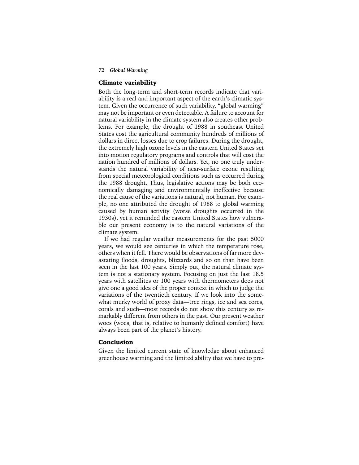#### *72 Global Warming*

#### Climate variability

Both the long-term and short-term records indicate that variability is a real and important aspect of the earth's climatic system. Given the occurrence of such variability, "global warming" may not be important or even detectable. A failure to account for natural variability in the climate system also creates other problems. For example, the drought of 1988 in southeast United States cost the agricultural community hundreds of millions of dollars in direct losses due to crop failures. During the drought, the extremely high ozone levels in the eastern United States set into motion regulatory programs and controls that will cost the nation hundred of millions of dollars. Yet, no one truly understands the natural variability of near-surface ozone resulting from special meteorological conditions such as occurred during the 1988 drought. Thus, legislative actions may be both economically damaging and environmentally ineffective because the real cause of the variations is natural, not human. For example, no one attributed the drought of 1988 to global warming caused by human activity (worse droughts occurred in the 1930s), yet it reminded the eastern United States how vulnerable our present economy is to the natural variations of the climate system.

If we had regular weather measurements for the past 5000 years, we would see centuries in which the temperature rose, others when it fell. There would be observations of far more devastating floods, droughts, blizzards and so on than have been seen in the last 100 years. Simply put, the natural climate system is not a stationary system. Focusing on just the last 18.5 years with satellites or 100 years with thermometers does not give one a good idea of the proper context in which to judge the variations of the twentieth century. If we look into the somewhat murky world of proxy data—tree rings, ice and sea cores, corals and such—most records do not show this century as remarkably different from others in the past. Our present weather woes (woes, that is, relative to humanly defined comfort) have always been part of the planet's history.

## Conclusion

Given the limited current state of knowledge about enhanced greenhouse warming and the limited ability that we have to pre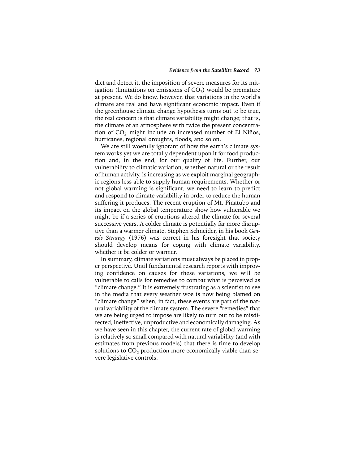dict and detect it, the imposition of severe measures for its mitigation (limitations on emissions of  $CO<sub>2</sub>$ ) would be premature at present. We do know, however, that variations in the world's climate are real and have significant economic impact. Even if the greenhouse climate change hypothesis turns out to be true, the real concern is that climate variability might change; that is, the climate of an atmosphere with twice the present concentration of  $CO<sub>2</sub>$  might include an increased number of El Niños, hurricanes, regional droughts, floods, and so on.

We are still woefully ignorant of how the earth's climate system works yet we are totally dependent upon it for food production and, in the end, for our quality of life. Further, our vulnerability to climatic variation, whether natural or the result of human activity, is increasing as we exploit marginal geographic regions less able to supply human requirements. Whether or not global warming is significant, we need to learn to predict and respond to climate variability in order to reduce the human suffering it produces. The recent eruption of Mt. Pinatubo and its impact on the global temperature show how vulnerable we might be if a series of eruptions altered the climate for several successive years. A colder climate is potentially far more disruptive than a warmer climate. Stephen Schneider, in his book *Genesis Strategy* (1976) was correct in his foresight that society should develop means for coping with climate variability, whether it be colder or warmer.

In summary, climate variations must always be placed in proper perspective. Until fundamental research reports with improving confidence on causes for these variations, we will be vulnerable to calls for remedies to combat what is perceived as "climate change." It is extremely frustrating as a scientist to see in the media that every weather woe is now being blamed on "climate change" when, in fact, these events are part of the natural variability of the climate system. The severe "remedies" that we are being urged to impose are likely to turn out to be misdirected, ineffective, unproductive and economically damaging. As we have seen in this chapter, the current rate of global warming is relatively so small compared with natural variability (and with estimates from previous models) that there is time to develop solutions to  $CO<sub>2</sub>$  production more economically viable than severe legislative controls.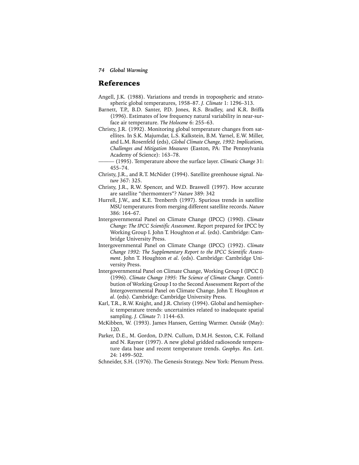## References

- Angell, J.K. (1988). Variations and trends in tropospheric and stratospheric global temperatures, 1958–87. *J. Climate* 1: 1296–313.
- Barnett, T.P., B.D. Santer, P.D. Jones, R.S. Bradley, and K.R. Briffa (1996). Estimates of low frequency natural variability in near-surface air temperature. *The Holocene* 6: 255–63.
- Christy, J.R. (1992). Monitoring global temperature changes from satellites. In S.K. Majumdar, L.S. Kalkstein, B.M. Yarnel, E.W. Miller, and L.M. Rosenfeld (eds), *Global Climate Change, 1992: Implications, Challenges and Mitigation Measures* (Easton, PA: The Pennsylvania Academy of Science): 163–78.
	- ——— (1995). Temperature above the surface layer. *Climatic Change* 31: 455–74.
- Christy, J.R., and R.T. McNider (1994). Satellite greenhouse signal. *Nature* 367: 325.
- Christy, J.R., R.W. Spencer, and W.D. Braswell (1997). How accurate are satellite "thermomters"? *Nature* 389: 342
- Hurrell, J.W., and K.E. Trenberth (1997). Spurious trends in satellite MSU temperatures from merging different satellite records. *Nature* 386: 164–67.
- Intergovernmental Panel on Climate Change (IPCC) (1990). *Climate Change: The IPCC Scientific Assessment*. Report prepared for IPCC by Working Group I. John T. Houghton *et al*. (eds). Cambridge: Cambridge University Press.
- Intergovernmental Panel on Climate Change (IPCC) (1992). *Climate Change 1992: The Supplementary Report to the IPCC Scientific Assessment*. John T. Houghton *et al*. (eds). Cambridge: Cambridge University Press.
- Intergovernmental Panel on Climate Change, Working Group I (IPCC I) (1996). *Climate Change 1995: The Science of Climate Change*. Contribution of Working Group I to the Second Assessment Report of the Intergovernmental Panel on Climate Change. John T. Houghton *et al*. (eds). Cambridge: Cambridge University Press.
- Karl, T.R., R.W. Knight, and J.R. Christy (1994). Global and hemispheric temperature trends: uncertainties related to inadequate spatial sampling. *J. Climate* 7: 1144–63.
- McKibben, W. (1993). James Hansen, Getting Warmer. *Outside* (May): 120.
- Parker, D.E., M. Gordon, D.P.N. Cullum, D.M.H. Sexton, C.K. Folland and N. Rayner (1997). A new global gridded radiosonde temperature data base and recent temperature trends. *Geophys. Res. Lett*. 24: 1499–502.
- Schneider, S.H. (1976). The Genesis Strategy. New York: Plenum Press.